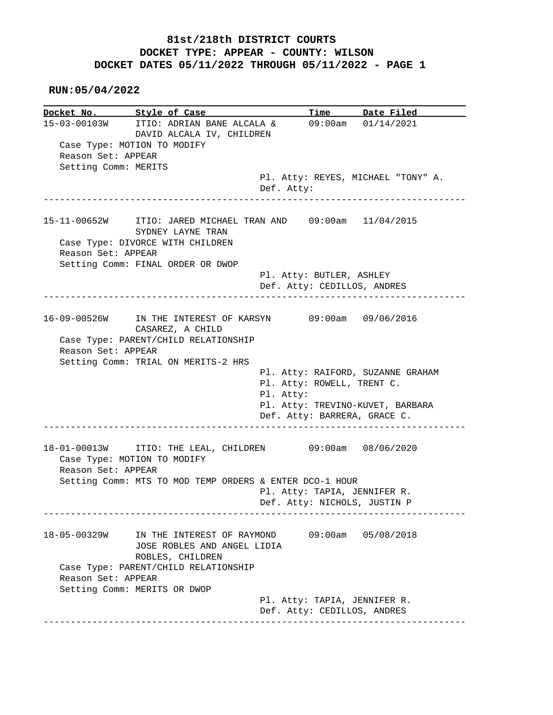#### **RUN:05/04/2022**

|                      | Docket No. Style of Case                                     | Time                                                        | Date Filed                         |
|----------------------|--------------------------------------------------------------|-------------------------------------------------------------|------------------------------------|
| 15-03-00103W         | ITIO: ADRIAN BANE ALCALA &<br>DAVID ALCALA IV, CHILDREN      |                                                             | 09:00am 01/14/2021                 |
|                      | Case Type: MOTION TO MODIFY                                  |                                                             |                                    |
| Reason Set: APPEAR   |                                                              |                                                             |                                    |
| Setting Comm: MERITS |                                                              |                                                             |                                    |
|                      |                                                              |                                                             | Pl. Atty: REYES, MICHAEL "TONY" A. |
|                      | _______________________                                      | Def. Atty:                                                  |                                    |
|                      | 15-11-00652W ITIO: JARED MICHAEL TRAN AND 09:00am 11/04/2015 |                                                             |                                    |
|                      | SYDNEY LAYNE TRAN                                            |                                                             |                                    |
|                      | Case Type: DIVORCE WITH CHILDREN                             |                                                             |                                    |
| Reason Set: APPEAR   |                                                              |                                                             |                                    |
|                      | Setting Comm: FINAL ORDER OR DWOP                            |                                                             |                                    |
|                      |                                                              | Pl. Atty: BUTLER, ASHLEY                                    |                                    |
|                      |                                                              | Def. Atty: CEDILLOS, ANDRES                                 |                                    |
|                      |                                                              |                                                             |                                    |
|                      | 16-09-00526W IN THE INTEREST OF KARSYN 09:00am 09/06/2016    |                                                             |                                    |
|                      | CASAREZ, A CHILD                                             |                                                             |                                    |
|                      | Case Type: PARENT/CHILD RELATIONSHIP                         |                                                             |                                    |
| Reason Set: APPEAR   |                                                              |                                                             |                                    |
|                      | Setting Comm: TRIAL ON MERITS-2 HRS                          |                                                             |                                    |
|                      |                                                              |                                                             | Pl. Atty: RAIFORD, SUZANNE GRAHAM  |
|                      |                                                              | Pl. Atty: ROWELL, TRENT C.                                  |                                    |
|                      |                                                              | Pl. Atty:                                                   |                                    |
|                      |                                                              |                                                             | Pl. Atty: TREVINO-KUVET, BARBARA   |
|                      |                                                              | Def. Atty: BARRERA, GRACE C.                                |                                    |
|                      | 18-01-00013W ITIO: THE LEAL, CHILDREN                        |                                                             |                                    |
|                      |                                                              |                                                             |                                    |
|                      |                                                              |                                                             | 09:00am 08/06/2020                 |
|                      | Case Type: MOTION TO MODIFY                                  |                                                             |                                    |
| Reason Set: APPEAR   |                                                              |                                                             |                                    |
|                      | Setting Comm: MTS TO MOD TEMP ORDERS & ENTER DCO-1 HOUR      |                                                             |                                    |
|                      |                                                              | Pl. Atty: TAPIA, JENNIFER R.                                |                                    |
|                      |                                                              | Def. Atty: NICHOLS, JUSTIN P                                |                                    |
| 18-05-00329W         | IN THE INTEREST OF RAYMOND                                   |                                                             | $09:00am$ $05/08/2018$             |
|                      |                                                              |                                                             |                                    |
|                      | JOSE ROBLES AND ANGEL LIDIA                                  |                                                             |                                    |
|                      | ROBLES, CHILDREN                                             |                                                             |                                    |
|                      | Case Type: PARENT/CHILD RELATIONSHIP                         |                                                             |                                    |
| Reason Set: APPEAR   |                                                              |                                                             |                                    |
|                      | Setting Comm: MERITS OR DWOP                                 |                                                             |                                    |
|                      |                                                              | Pl. Atty: TAPIA, JENNIFER R.<br>Def. Atty: CEDILLOS, ANDRES |                                    |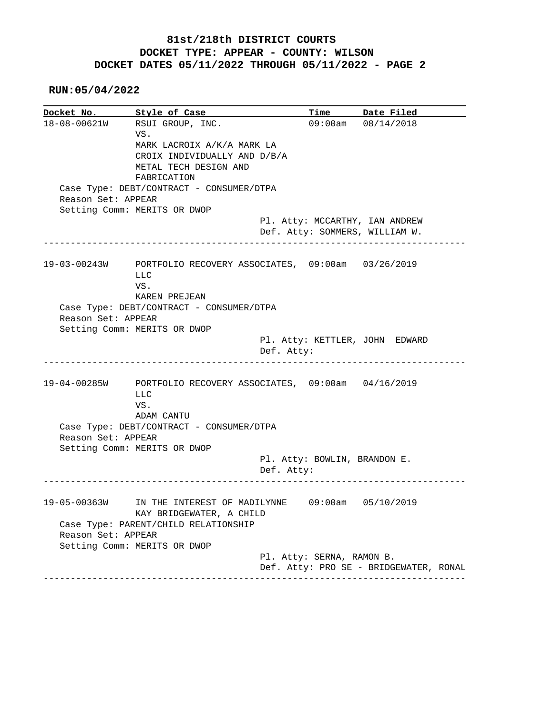**RUN:05/04/2022**

**Docket No. Style of Case Time Date Filed**  18-08-00621W RSUI GROUP, INC. 09:00am 08/14/2018 VS. MARK LACROIX A/K/A MARK LA CROIX INDIVIDUALLY AND D/B/A METAL TECH DESIGN AND FABRICATION Case Type: DEBT/CONTRACT - CONSUMER/DTPA Reason Set: APPEAR Setting Comm: MERITS OR DWOP Pl. Atty: MCCARTHY, IAN ANDREW Def. Atty: SOMMERS, WILLIAM W. ------------------------------------------------------------------------------ 19-03-00243W PORTFOLIO RECOVERY ASSOCIATES, 09:00am 03/26/2019 LLC VS. KAREN PREJEAN Case Type: DEBT/CONTRACT - CONSUMER/DTPA Reason Set: APPEAR Setting Comm: MERITS OR DWOP Pl. Atty: KETTLER, JOHN EDWARD Def. Atty: ------------------------------------------------------------------------------ 19-04-00285W PORTFOLIO RECOVERY ASSOCIATES, 09:00am 04/16/2019 LLC VS. ADAM CANTU Case Type: DEBT/CONTRACT - CONSUMER/DTPA Reason Set: APPEAR Setting Comm: MERITS OR DWOP Pl. Atty: BOWLIN, BRANDON E. Def. Atty: ------------------------------------------------------------------------------ 19-05-00363W IN THE INTEREST OF MADILYNNE 09:00am 05/10/2019 KAY BRIDGEWATER, A CHILD Case Type: PARENT/CHILD RELATIONSHIP Reason Set: APPEAR Setting Comm: MERITS OR DWOP Pl. Atty: SERNA, RAMON B. Def. Atty: PRO SE - BRIDGEWATER, RONAL ------------------------------------------------------------------------------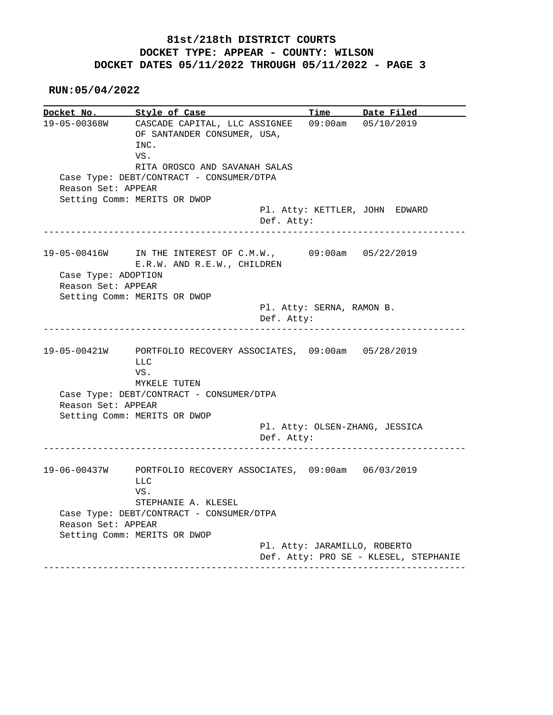**RUN:05/04/2022**

**Docket No. Style of Case Time Date Filed**  19-05-00368W CASCADE CAPITAL, LLC ASSIGNEE 09:00am 05/10/2019 OF SANTANDER CONSUMER, USA, INC. VS. RITA OROSCO AND SAVANAH SALAS Case Type: DEBT/CONTRACT - CONSUMER/DTPA Reason Set: APPEAR Setting Comm: MERITS OR DWOP Pl. Atty: KETTLER, JOHN EDWARD Def. Atty: ------------------------------------------------------------------------------ 19-05-00416W IN THE INTEREST OF C.M.W., 09:00am 05/22/2019 E.R.W. AND R.E.W., CHILDREN Case Type: ADOPTION Reason Set: APPEAR Setting Comm: MERITS OR DWOP Pl. Atty: SERNA, RAMON B. Def. Atty: ------------------------------------------------------------------------------ 19-05-00421W PORTFOLIO RECOVERY ASSOCIATES, 09:00am 05/28/2019 LLC VS. MYKELE TUTEN Case Type: DEBT/CONTRACT - CONSUMER/DTPA Reason Set: APPEAR Setting Comm: MERITS OR DWOP Pl. Atty: OLSEN-ZHANG, JESSICA Def. Atty: ------------------------------------------------------------------------------ 19-06-00437W PORTFOLIO RECOVERY ASSOCIATES, 09:00am 06/03/2019 LLC VS. STEPHANIE A. KLESEL Case Type: DEBT/CONTRACT - CONSUMER/DTPA Reason Set: APPEAR Setting Comm: MERITS OR DWOP Pl. Atty: JARAMILLO, ROBERTO Def. Atty: PRO SE - KLESEL, STEPHANIE ------------------------------------------------------------------------------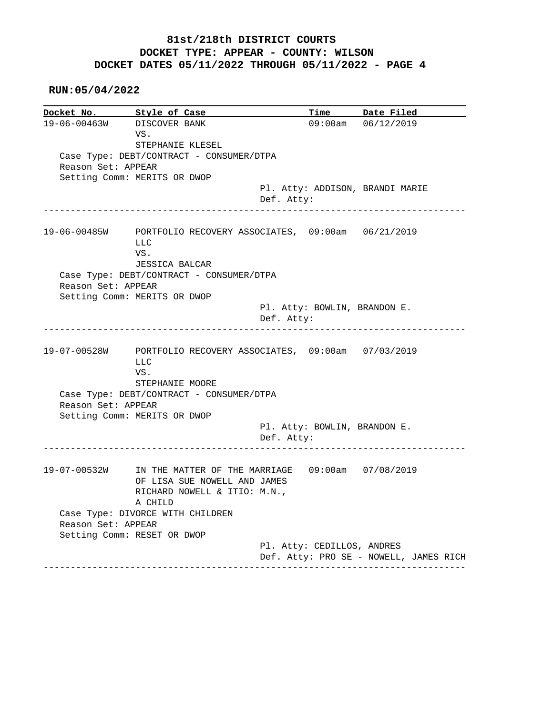**RUN:05/04/2022**

**Docket No.** Style of Case Time Date Filed 19-06-00463W DISCOVER BANK 09:00am 06/12/2019 VS. STEPHANIE KLESEL Case Type: DEBT/CONTRACT - CONSUMER/DTPA Reason Set: APPEAR Setting Comm: MERITS OR DWOP Pl. Atty: ADDISON, BRANDI MARIE Def. Atty: ------------------------------------------------------------------------------ 19-06-00485W PORTFOLIO RECOVERY ASSOCIATES, 09:00am 06/21/2019 LLC VS. JESSICA BALCAR Case Type: DEBT/CONTRACT - CONSUMER/DTPA Reason Set: APPEAR Setting Comm: MERITS OR DWOP Pl. Atty: BOWLIN, BRANDON E. Def. Atty: ------------------------------------------------------------------------------ 19-07-00528W PORTFOLIO RECOVERY ASSOCIATES, 09:00am 07/03/2019 LLC VS. STEPHANIE MOORE Case Type: DEBT/CONTRACT - CONSUMER/DTPA Reason Set: APPEAR Setting Comm: MERITS OR DWOP Pl. Atty: BOWLIN, BRANDON E. Def. Atty: ------------------------------------------------------------------------------ 19-07-00532W IN THE MATTER OF THE MARRIAGE 09:00am 07/08/2019 OF LISA SUE NOWELL AND JAMES RICHARD NOWELL & ITIO: M.N., A CHILD Case Type: DIVORCE WITH CHILDREN Reason Set: APPEAR Setting Comm: RESET OR DWOP Pl. Atty: CEDILLOS, ANDRES Def. Atty: PRO SE - NOWELL, JAMES RICH ------------------------------------------------------------------------------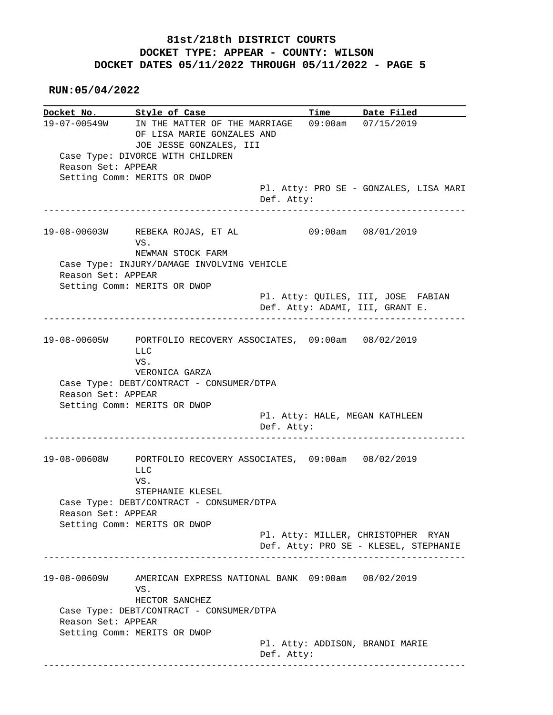**RUN:05/04/2022**

**Docket No. Style of Case Time Date Filed**  19-07-00549W IN THE MATTER OF THE MARRIAGE 09:00am 07/15/2019 OF LISA MARIE GONZALES AND JOE JESSE GONZALES, III Case Type: DIVORCE WITH CHILDREN Reason Set: APPEAR Setting Comm: MERITS OR DWOP Pl. Atty: PRO SE - GONZALES, LISA MARI Def. Atty: ------------------------------------------------------------------------------ 19-08-00603W REBEKA ROJAS, ET AL 09:00am 08/01/2019 VS. NEWMAN STOCK FARM Case Type: INJURY/DAMAGE INVOLVING VEHICLE Reason Set: APPEAR Setting Comm: MERITS OR DWOP Pl. Atty: QUILES, III, JOSE FABIAN Def. Atty: ADAMI, III, GRANT E. ------------------------------------------------------------------------------ 19-08-00605W PORTFOLIO RECOVERY ASSOCIATES, 09:00am 08/02/2019 LLC VS. VERONICA GARZA Case Type: DEBT/CONTRACT - CONSUMER/DTPA Reason Set: APPEAR Setting Comm: MERITS OR DWOP Pl. Atty: HALE, MEGAN KATHLEEN Def. Atty: ------------------------------------------------------------------------------ 19-08-00608W PORTFOLIO RECOVERY ASSOCIATES, 09:00am 08/02/2019 LLC VS. STEPHANIE KLESEL Case Type: DEBT/CONTRACT - CONSUMER/DTPA Reason Set: APPEAR Setting Comm: MERITS OR DWOP Pl. Atty: MILLER, CHRISTOPHER RYAN Def. Atty: PRO SE - KLESEL, STEPHANIE ------------------------------------------------------------------------------ 19-08-00609W AMERICAN EXPRESS NATIONAL BANK 09:00am 08/02/2019 VS. HECTOR SANCHEZ Case Type: DEBT/CONTRACT - CONSUMER/DTPA Reason Set: APPEAR Setting Comm: MERITS OR DWOP Pl. Atty: ADDISON, BRANDI MARIE Def. Atty: ------------------------------------------------------------------------------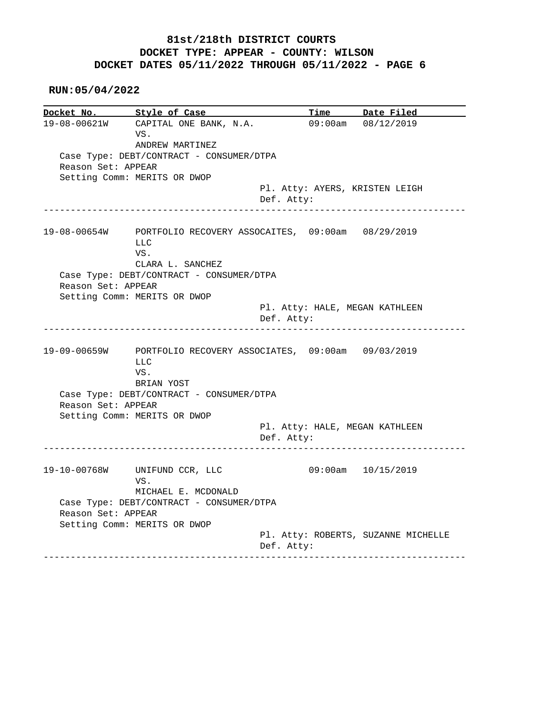**RUN:05/04/2022**

**Docket No.** Style of Case Time Date Filed 19-08-00621W CARETAL AVELATION CONTINUES. 19-08-00621W CAPITAL ONE BANK, N.A. 09:00am 08/12/2019 VS. ANDREW MARTINEZ Case Type: DEBT/CONTRACT - CONSUMER/DTPA Reason Set: APPEAR Setting Comm: MERITS OR DWOP Pl. Atty: AYERS, KRISTEN LEIGH Def. Atty: ------------------------------------------------------------------------------ 19-08-00654W PORTFOLIO RECOVERY ASSOCAITES, 09:00am 08/29/2019 LLC VS. CLARA L. SANCHEZ Case Type: DEBT/CONTRACT - CONSUMER/DTPA Reason Set: APPEAR Setting Comm: MERITS OR DWOP Pl. Atty: HALE, MEGAN KATHLEEN Def. Atty: ------------------------------------------------------------------------------ 19-09-00659W PORTFOLIO RECOVERY ASSOCIATES, 09:00am 09/03/2019 LLC VS. BRIAN YOST Case Type: DEBT/CONTRACT - CONSUMER/DTPA Reason Set: APPEAR Setting Comm: MERITS OR DWOP Pl. Atty: HALE, MEGAN KATHLEEN Def. Atty: ------------------------------------------------------------------------------ 19-10-00768W UNIFUND CCR, LLC 09:00am 10/15/2019 VS. MICHAEL E. MCDONALD Case Type: DEBT/CONTRACT - CONSUMER/DTPA Reason Set: APPEAR Setting Comm: MERITS OR DWOP Pl. Atty: ROBERTS, SUZANNE MICHELLE Def. Atty: ------------------------------------------------------------------------------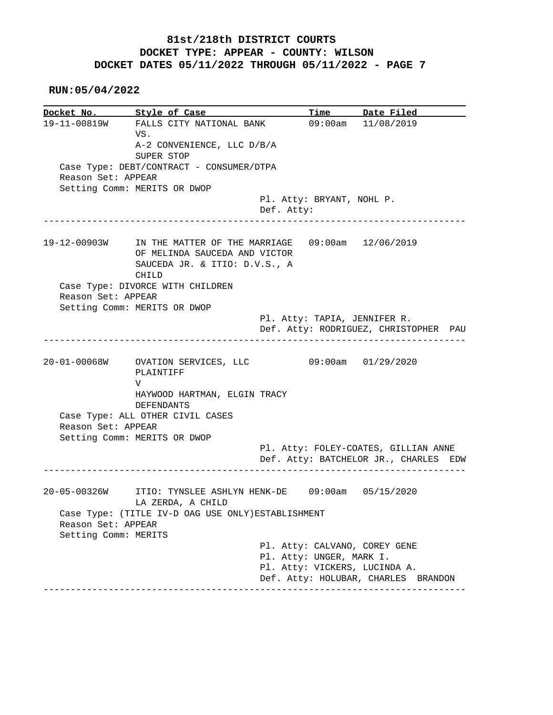**RUN:05/04/2022**

**Docket No. Style of Case Time Date Filed**  19-11-00819W FALLS CITY NATIONAL BANK 09:00am 11/08/2019 VS. A-2 CONVENIENCE, LLC D/B/A SUPER STOP Case Type: DEBT/CONTRACT - CONSUMER/DTPA Reason Set: APPEAR Setting Comm: MERITS OR DWOP Pl. Atty: BRYANT, NOHL P. Def. Atty: ------------------------------------------------------------------------------ 19-12-00903W IN THE MATTER OF THE MARRIAGE 09:00am 12/06/2019 OF MELINDA SAUCEDA AND VICTOR SAUCEDA JR. & ITIO: D.V.S., A CHILD Case Type: DIVORCE WITH CHILDREN Reason Set: APPEAR Setting Comm: MERITS OR DWOP Pl. Atty: TAPIA, JENNIFER R. Def. Atty: RODRIGUEZ, CHRISTOPHER PAU ------------------------------------------------------------------------------ 20-01-00068W OVATION SERVICES, LLC 09:00am 01/29/2020 PLAINTIFF V HAYWOOD HARTMAN, ELGIN TRACY DEFENDANTS Case Type: ALL OTHER CIVIL CASES Reason Set: APPEAR Setting Comm: MERITS OR DWOP Pl. Atty: FOLEY-COATES, GILLIAN ANNE Def. Atty: BATCHELOR JR., CHARLES EDW ------------------------------------------------------------------------------ 20-05-00326W ITIO: TYNSLEE ASHLYN HENK-DE 09:00am 05/15/2020 LA ZERDA, A CHILD Case Type: (TITLE IV-D OAG USE ONLY)ESTABLISHMENT Reason Set: APPEAR Setting Comm: MERITS Pl. Atty: CALVANO, COREY GENE Pl. Atty: UNGER, MARK I. Pl. Atty: VICKERS, LUCINDA A. Def. Atty: HOLUBAR, CHARLES BRANDON ------------------------------------------------------------------------------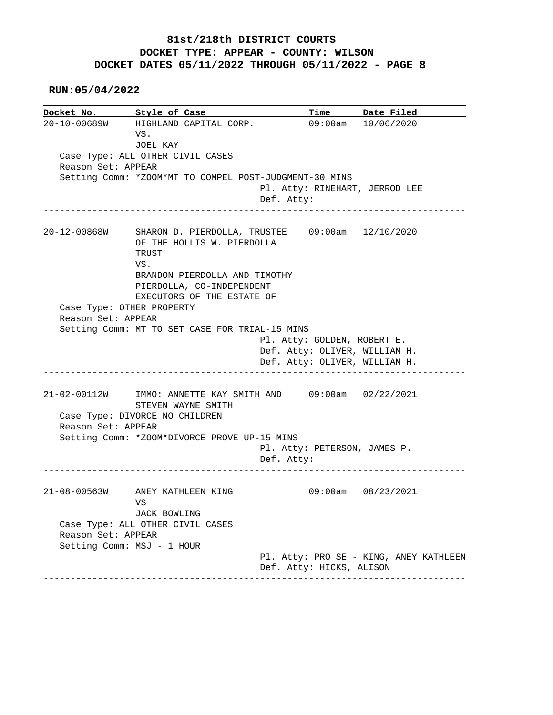**RUN:05/04/2022**

|                    | Docket No. 5tyle of Case                                                               |                                | Time Date Filed    |
|--------------------|----------------------------------------------------------------------------------------|--------------------------------|--------------------|
|                    | 20-10-00689W HIGHLAND CAPITAL CORP.<br>VS.                                             |                                | 09:00am 10/06/2020 |
|                    | JOEL KAY                                                                               |                                |                    |
| Reason Set: APPEAR | Case Type: ALL OTHER CIVIL CASES                                                       |                                |                    |
|                    | Setting Comm: *ZOOM*MT TO COMPEL POST-JUDGMENT-30 MINS                                 |                                |                    |
|                    |                                                                                        | Pl. Atty: RINEHART, JERROD LEE |                    |
|                    |                                                                                        | Def. Atty:                     |                    |
| 20-12-00868W       | SHARON D. PIERDOLLA, TRUSTEE 09:00am 12/10/2020<br>OF THE HOLLIS W. PIERDOLLA<br>TRUST |                                |                    |
|                    | VS.<br>BRANDON PIERDOLLA AND TIMOTHY                                                   |                                |                    |
|                    | PIERDOLLA, CO-INDEPENDENT                                                              |                                |                    |
|                    | EXECUTORS OF THE ESTATE OF                                                             |                                |                    |
|                    | Case Type: OTHER PROPERTY                                                              |                                |                    |
| Reason Set: APPEAR |                                                                                        |                                |                    |
|                    | Setting Comm: MT TO SET CASE FOR TRIAL-15 MINS                                         |                                |                    |
|                    |                                                                                        |                                |                    |
|                    |                                                                                        | Pl. Atty: GOLDEN, ROBERT E.    |                    |
|                    |                                                                                        | Def. Atty: OLIVER, WILLIAM H.  |                    |
|                    |                                                                                        | Def. Atty: OLIVER, WILLIAM H.  |                    |
|                    | 21-02-00112W IMMO: ANNETTE KAY SMITH AND 09:00am 02/22/2021<br>STEVEN WAYNE SMITH      |                                |                    |
|                    | Case Type: DIVORCE NO CHILDREN                                                         |                                |                    |
| Reason Set: APPEAR |                                                                                        |                                |                    |
|                    | Setting Comm: *ZOOM*DIVORCE PROVE UP-15 MINS                                           |                                |                    |
|                    |                                                                                        | Pl. Atty: PETERSON, JAMES P.   |                    |
|                    |                                                                                        | Def. Atty:                     |                    |
|                    | 21-08-00563W ANEY KATHLEEN KING                                                        |                                | 09:00am 08/23/2021 |
|                    | VS<br>JACK BOWLING                                                                     |                                |                    |
|                    | Case Type: ALL OTHER CIVIL CASES                                                       |                                |                    |
| Reason Set: APPEAR |                                                                                        |                                |                    |
|                    | Setting Comm: MSJ - 1 HOUR                                                             |                                |                    |